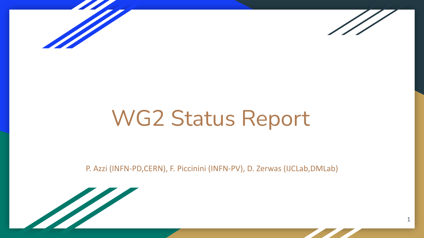



1

# WG2 Status Report

P. Azzi (INFN-PD,CERN), F. Piccinini (INFN-PV), D. Zerwas (IJCLab,DMLab)

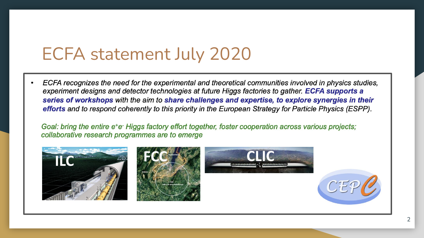# ECFA statement July 2020

ECFA recognizes the need for the experimental and theoretical communities involved in physics studies, experiment designs and detector technologies at future Higgs factories to gather. ECFA supports a series of workshops with the aim to share challenges and expertise, to explore synergies in their efforts and to respond coherently to this priority in the European Strategy for Particle Physics (ESPP).

Goal: bring the entire e<sup>+</sup>e<sup>-</sup> Higgs factory effort together, foster cooperation across various projects; collaborative research programmes are to emerge

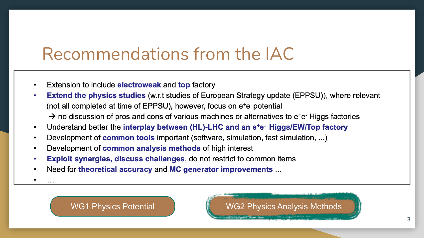### Recommendations from the IAC

- Extension to include electroweak and top factory
- **Extend the physics studies (w.r.t studies of European Strategy update (EPPSU)), where relevant** (not all completed at time of EPPSU), however, focus on e<sup>+</sup>e-potential  $\rightarrow$  no discussion of pros and cons of various machines or alternatives to e<sup>+</sup>e Higgs factories
- Understand better the interplay between (HL)-LHC and an e<sup>+</sup>e<sup>-</sup> Higgs/EW/Top factory
- Development of **common tools** important (software, simulation, fast simulation, ...)
- Development of common analysis methods of high interest
- **Exploit synergies, discuss challenges, do not restrict to common items**
- Need for theoretical accuracy and MC generator improvements ...
- 

WG1 Physics Potential Managet MG2 Physics Analysis Methods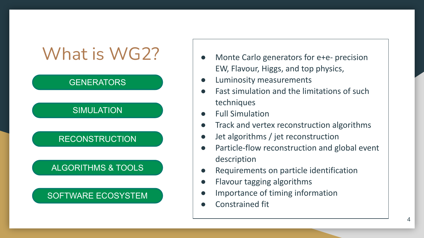# What is WG2? | . Monte Carlo generators for e+e- precision

### **GENERATORS**

### **SIMULATION**

### **RECONSTRUCTION**

### ALGORITHMS & TOOLS

### SOFTWARE ECOSYSTEM

- EW, Flavour, Higgs, and top physics,
- **Luminosity measurements**
- Fast simulation and the limitations of such techniques
- **Full Simulation**
- Track and vertex reconstruction algorithms
- Jet algorithms / jet reconstruction
- Particle-flow reconstruction and global event description
- Requirements on particle identification
- Flavour tagging algorithms
- Importance of timing information
- Constrained fit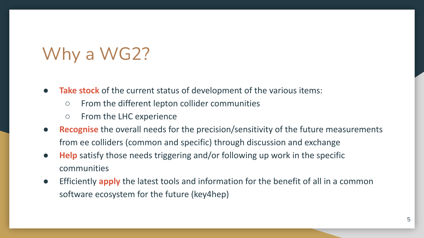# Why a WG2?

- **● Take stock** of the current status of development of the various items:
	- From the different lepton collider communities
	- From the LHC experience
- **Recognise** the overall needs for the precision/sensitivity of the future measurements from ee colliders (common and specific) through discussion and exchange
- **● Help** satisfy those needs triggering and/or following up work in the specific communities
- Efficiently **apply** the latest tools and information for the benefit of all in a common software ecosystem for the future (key4hep)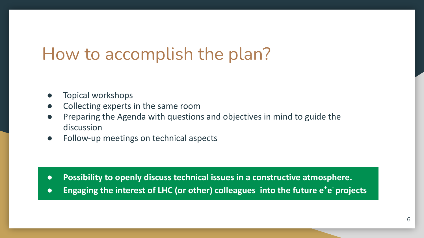# How to accomplish the plan?

- Topical workshops
- Collecting experts in the same room
- Preparing the Agenda with questions and objectives in mind to guide the discussion
- Follow-up meetings on technical aspects

- **● Possibility to openly discuss technical issues in a constructive atmosphere.**
- **•** Engaging the interest of LHC (or other) colleagues into the future e<sup>+</sup>e<sup>-</sup> projects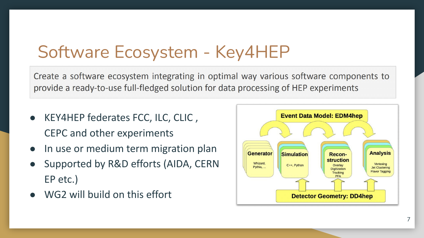# Software Ecosystem - Key4HEP

Create a software ecosystem integrating in optimal way various software components to provide a ready-to-use full-fledged solution for data processing of HEP experiments

- KEY4HEP federates FCC, ILC, CLIC, CEPC and other experiments
- In use or medium term migration plan
- Supported by R&D efforts (AIDA, CERN EP etc.)
- WG2 will build on this effort

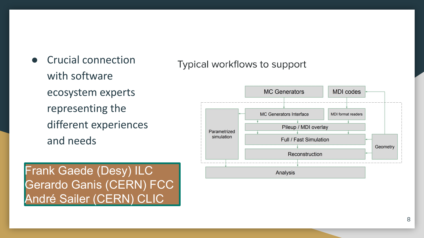● Crucial connection with software ecosystem experts representing the different experiences and needs

Frank Gaede (Desy) ILC Gerardo Ganis (CERN) FCC André Sailer (CERN) CLIC

Typical workflows to support

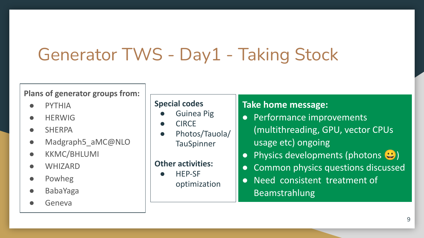# Generator TWS - Day1 - Taking Stock

#### **Plans of generator groups from:**

- PYTHIA
- HERWIG
- SHERPA
- Madgraph5 aMC@NLO
- KKMC/BHLUMI
- WHIZARD
- Powheg
- BabaYaga
- **Geneva**

#### **Special codes**

- Guinea Pig
- CIRCE
- Photos/Tauola/ **TauSpinner**

#### **Other activities:**

- HEP-SF
	- optimization

#### **Take home message:**

- Performance improvements (multithreading, GPU, vector CPUs usage etc) ongoing
- Physics developments (photons  $\bigcirc$ )
- Common physics questions discussed
- Need consistent treatment of Beamstrahlung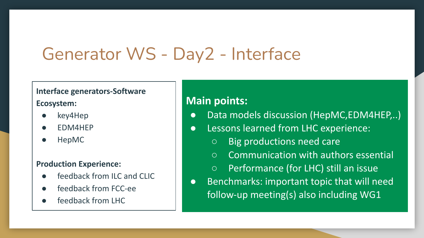# Generator WS - Day2 - Interface

#### **Interface generators-Software**

#### **Ecosystem:**

- key4Hep
- EDM4HEP
- HepMC

#### **Production Experience:**

- feedback from ILC and CLIC
- feedback from FCC-ee
- feedback from LHC

### **Main points:**

- Data models discussion (HepMC,EDM4HEP,..)
- Lessons learned from LHC experience:
	- Big productions need care
	- Communication with authors essential
	- Performance (for LHC) still an issue
- Benchmarks: important topic that will need follow-up meeting(s) also including WG1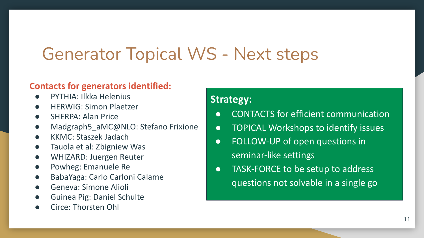# Generator Topical WS - Next steps

#### **Contacts for generators identified:**

- PYTHIA: Ilkka Helenius
- HERWIG: Simon Plaetzer
- SHERPA: Alan Price
- Madgraph5\_aMC@NLO: Stefano Frixione
- KKMC: Staszek Jadach
- Tauola et al: Zbigniew Was
- WHIZARD: Juergen Reuter
- Powheg: Emanuele Re
- BabaYaga: Carlo Carloni Calame
- Geneva: Simone Alioli
- Guinea Pig: Daniel Schulte
- Circe: Thorsten Ohl

#### **Strategy:**

- CONTACTS for efficient communication
- TOPICAL Workshops to identify issues
- FOLLOW-UP of open questions in seminar-like settings
- TASK-FORCE to be setup to address questions not solvable in a single go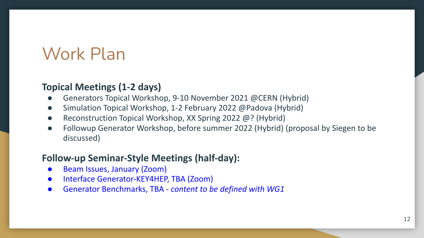# Work Plan

### **Topical Meetings (1-2 days)**

- Generators Topical Workshop, 9-10 November 2021 @CERN (Hybrid)
- Simulation Topical Workshop, 1-2 February 2022 @Padova (Hybrid)
- Reconstruction Topical Workshop, XX Spring 2022 @? (Hybrid)
- Followup Generator Workshop, before summer 2022 (Hybrid) (proposal by Siegen to be discussed)

### **Follow-up Seminar-Style Meetings (half-day):**

- Beam Issues, January (Zoom)
- Interface Generator-KEY4HEP, TBA (Zoom)
- Generator Benchmarks, TBA *content to be defined with WG1*